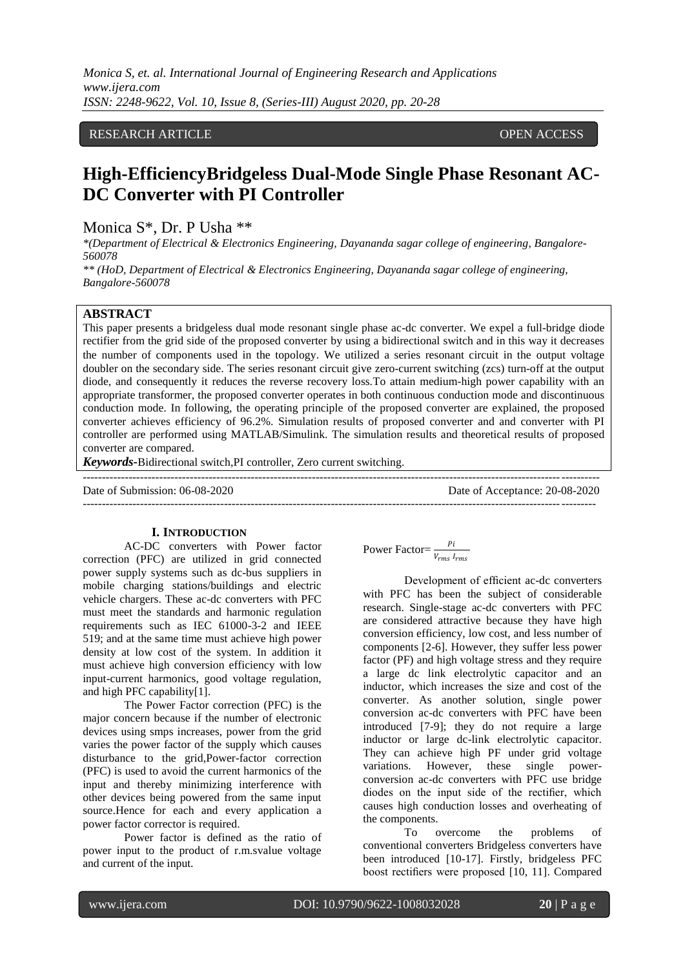*Monica S, et. al. International Journal of Engineering Research and Applications www.ijera.com ISSN: 2248-9622, Vol. 10, Issue 8, (Series-III) August 2020, pp. 20-28*

# RESEARCH ARTICLE **CONSERVERS** OPEN ACCESS

# **High-EfficiencyBridgeless Dual-Mode Single Phase Resonant AC-DC Converter with PI Controller**

Monica S\*, Dr. P Usha \*\*

*\*(Department of Electrical & Electronics Engineering, Dayananda sagar college of engineering, Bangalore-560078*

*\*\* (HoD, Department of Electrical & Electronics Engineering, Dayananda sagar college of engineering, Bangalore-560078*

# **ABSTRACT**

This paper presents a bridgeless dual mode resonant single phase ac-dc converter. We expel a full-bridge diode rectifier from the grid side of the proposed converter by using a bidirectional switch and in this way it decreases the number of components used in the topology. We utilized a series resonant circuit in the output voltage doubler on the secondary side. The series resonant circuit give zero-current switching (zcs) turn-off at the output diode, and consequently it reduces the reverse recovery loss.To attain medium-high power capability with an appropriate transformer, the proposed converter operates in both continuous conduction mode and discontinuous conduction mode. In following, the operating principle of the proposed converter are explained, the proposed converter achieves efficiency of 96.2%. Simulation results of proposed converter and and converter with PI controller are performed using MATLAB/Simulink. The simulation results and theoretical results of proposed converter are compared.

 $-1\leq i\leq n-1$ 

--------------------------------------------------------------------------------------------------------------------------------------

*Keywords***-**Bidirectional switch,PI controller, Zero current switching.

Date of Submission: 06-08-2020 Date of Acceptance: 20-08-2020

#### **I. INTRODUCTION**

AC-DC converters with Power factor correction (PFC) are utilized in grid connected power supply systems such as dc-bus suppliers in mobile charging stations/buildings and electric vehicle chargers. These ac-dc converters with PFC must meet the standards and harmonic regulation requirements such as IEC 61000-3-2 and IEEE 519; and at the same time must achieve high power density at low cost of the system. In addition it must achieve high conversion efficiency with low input-current harmonics, good voltage regulation, and high PFC capability[1].

The Power Factor correction (PFC) is the major concern because if the number of electronic devices using smps increases, power from the grid varies the power factor of the supply which causes disturbance to the grid,Power-factor correction (PFC) is used to avoid the current harmonics of the input and thereby minimizing interference with other devices being powered from the same input source.Hence for each and every application a power factor corrector is required.

Power factor is defined as the ratio of power input to the product of r.m.svalue voltage and current of the input.

Power Factor=
$$
\frac{pi}{v_{rms} l_{rms}}
$$

Development of efficient ac-dc converters with PFC has been the subject of considerable research. Single-stage ac-dc converters with PFC are considered attractive because they have high conversion efficiency, low cost, and less number of components [2-6]. However, they suffer less power factor (PF) and high voltage stress and they require a large dc link electrolytic capacitor and an inductor, which increases the size and cost of the converter. As another solution, single power conversion ac-dc converters with PFC have been introduced [7-9]; they do not require a large inductor or large dc-link electrolytic capacitor. They can achieve high PF under grid voltage variations. However, these single powerconversion ac-dc converters with PFC use bridge diodes on the input side of the rectifier, which causes high conduction losses and overheating of the components.

To overcome the problems of conventional converters Bridgeless converters have been introduced [10-17]. Firstly, bridgeless PFC boost rectifiers were proposed [10, 11]. Compared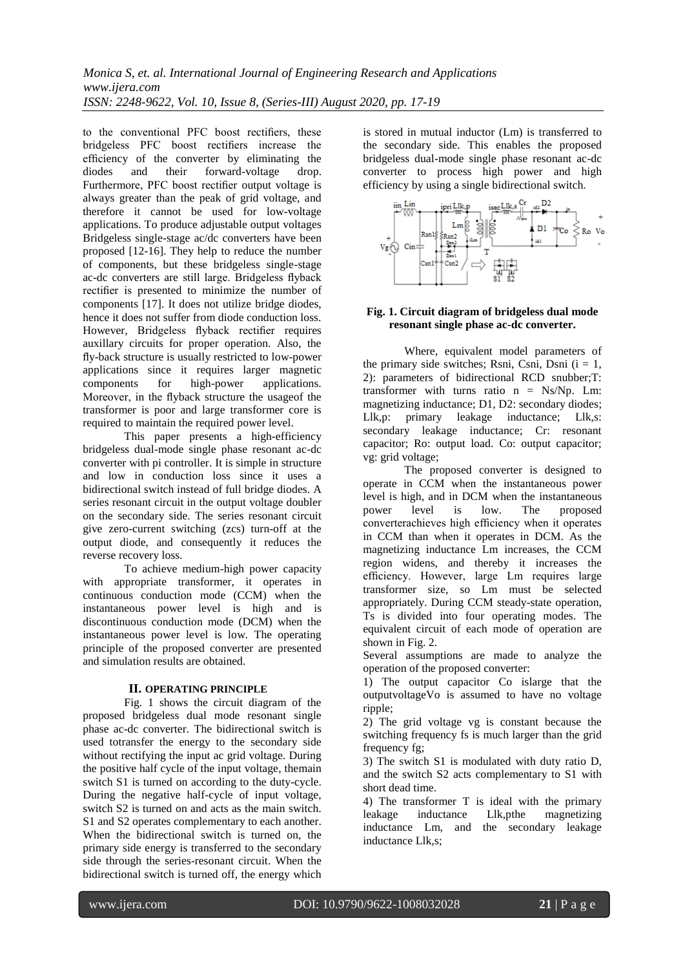to the conventional PFC boost rectifiers, these bridgeless PFC boost rectifiers increase the efficiency of the converter by eliminating the diodes and their forward-voltage drop. diodes and their forward-voltage drop. Furthermore, PFC boost rectifier output voltage is always greater than the peak of grid voltage, and therefore it cannot be used for low-voltage applications. To produce adjustable output voltages Bridgeless single-stage ac/dc converters have been proposed [12-16]. They help to reduce the number of components, but these bridgeless single-stage ac-dc converters are still large. Bridgeless flyback rectifier is presented to minimize the number of components [17]. It does not utilize bridge diodes, hence it does not suffer from diode conduction loss. However, Bridgeless flyback rectifier requires auxillary circuits for proper operation. Also, the fly-back structure is usually restricted to low-power applications since it requires larger magnetic components for high-power applications. Moreover, in the flyback structure the usageof the transformer is poor and large transformer core is required to maintain the required power level.

This paper presents a high-efficiency bridgeless dual-mode single phase resonant ac-dc converter with pi controller. It is simple in structure and low in conduction loss since it uses a bidirectional switch instead of full bridge diodes. A series resonant circuit in the output voltage doubler on the secondary side. The series resonant circuit give zero-current switching (zcs) turn-off at the output diode, and consequently it reduces the reverse recovery loss.

To achieve medium-high power capacity with appropriate transformer, it operates in continuous conduction mode (CCM) when the instantaneous power level is high and is discontinuous conduction mode (DCM) when the instantaneous power level is low. The operating principle of the proposed converter are presented and simulation results are obtained.

# **II. OPERATING PRINCIPLE**

Fig. 1 shows the circuit diagram of the proposed bridgeless dual mode resonant single phase ac-dc converter. The bidirectional switch is used totransfer the energy to the secondary side without rectifying the input ac grid voltage. During the positive half cycle of the input voltage, themain switch S1 is turned on according to the duty-cycle. During the negative half-cycle of input voltage, switch S2 is turned on and acts as the main switch. S1 and S2 operates complementary to each another. When the bidirectional switch is turned on, the primary side energy is transferred to the secondary side through the series-resonant circuit. When the bidirectional switch is turned off, the energy which

is stored in mutual inductor (Lm) is transferred to the secondary side. This enables the proposed bridgeless dual-mode single phase resonant ac-dc converter to process high power and high efficiency by using a single bidirectional switch.



# **Fig. 1. Circuit diagram of bridgeless dual mode resonant single phase ac-dc converter.**

Where, equivalent model parameters of the primary side switches; Rsni, Csni, Dsni  $(i = 1,$ 2): parameters of bidirectional RCD snubber;T: transformer with turns ratio  $n = Ns/Np$ . Lm: magnetizing inductance; D1, D2: secondary diodes; Llk,p: primary leakage inductance; Llk,s: secondary leakage inductance; Cr: resonant capacitor; Ro: output load. Co: output capacitor; vg: grid voltage;

The proposed converter is designed to operate in CCM when the instantaneous power level is high, and in DCM when the instantaneous power level is low. The proposed converterachieves high efficiency when it operates in CCM than when it operates in DCM. As the magnetizing inductance Lm increases, the CCM region widens, and thereby it increases the efficiency. However, large Lm requires large transformer size, so Lm must be selected appropriately. During CCM steady-state operation, Ts is divided into four operating modes. The equivalent circuit of each mode of operation are shown in Fig. 2.

Several assumptions are made to analyze the operation of the proposed converter:

1) The output capacitor Co islarge that the outputvoltageVo is assumed to have no voltage ripple;

2) The grid voltage vg is constant because the switching frequency fs is much larger than the grid frequency fg;

3) The switch S1 is modulated with duty ratio D, and the switch S2 acts complementary to S1 with short dead time.

4) The transformer T is ideal with the primary leakage inductance Llk,pthe magnetizing inductance Lm, and the secondary leakage inductance Llk,s;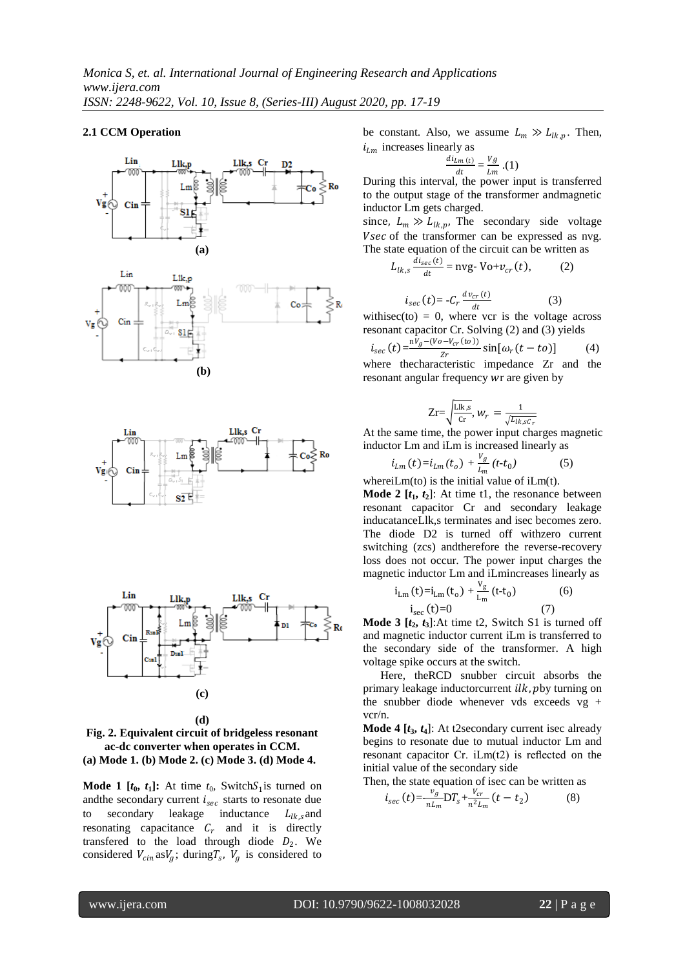## **2.1 CCM Operation**





**(d) Fig. 2. Equivalent circuit of bridgeless resonant ac-dc converter when operates in CCM. (a) Mode 1. (b) Mode 2. (c) Mode 3. (d) Mode 4.**

**Mode 1**  $[t_0, t_1]$ : At time  $t_0$ , Switch $S_1$  is turned on and the secondary current  $i_{\text{sec}}$  starts to resonate due to secondary leakage inductance  $L_{lk,s}$  and resonating capacitance  $C_r$  and it is directly transfered to the load through diode  $D_2$ . We considered  $V_{cin}$  as $V_g$ ; during  $T_s$ ,  $V_g$  is considered to be constant. Also, we assume  $L_m \gg L_{lk,p}$ . Then,  $i_{lm}$  increases linearly as

$$
\frac{di_{Lm(t)}}{dt} = \frac{Vg}{Lm} \cdot (1)
$$

 $\begin{array}{cc} \text{d}t & \text{Im} & \text{Im} \\ \text{During this interval, the power input is transferred} \end{array}$ to the output stage of the transformer andmagnetic inductor Lm gets charged.

since,  $L_m \gg L_{lk,p}$ , The secondary side voltage Vsec of the transformer can be expressed as nvg. The state equation of the circuit can be written as

$$
L_{lk,s} \frac{di_{sec}(t)}{dt} = \text{nyg-} \text{Vo+} v_{cr}(t), \qquad (2)
$$

$$
i_{sec}(t) = -C_r \frac{dv_{cr}(t)}{dt} \tag{3}
$$

withisec(to) = 0, where vcr is the voltage across resonant capacitor Cr. Solving (2) and (3) yields

$$
i_{sec}(t) = \frac{nV_g - (V_o - V_{cr}(to))}{Zr} \sin[\omega_r(t - to)]
$$
 (4)  
where the characteristic impedance Zr and the

where thecharacteristic impedance Zr and the resonant angular frequency wr are given by

$$
\text{Zr}{=}\sqrt{\frac{\text{Llk},s}{\text{Cr}}},\,W_r\,=\frac{1}{\sqrt{L_{lk,sC_r}}}
$$

At the same time, the power input charges magnetic inductor Lm and iLm is increased linearly as

$$
i_{Lm}(t) = i_{Lm}(t_o) + \frac{v_g}{L_m}(t - t_0)
$$
 (5)

whereiLm(to) is the initial value of iLm(t). **Mode 2**  $[t_1, t_2]$ : At time t1, the resonance between resonant capacitor Cr and secondary leakage inducatanceLlk,s terminates and isec becomes zero. The diode D2 is turned off withzero current switching (zcs) andtherefore the reverse-recovery loss does not occur. The power input charges the magnetic inductor Lm and iLmincreases linearly as

$$
i_{\text{Lm}}(t) = i_{\text{Lm}}(t_0) + \frac{v_g}{L_m}(t - t_0)
$$
 (6)  

$$
i_{\text{sec}}(t) = 0
$$
 (7)

**Mode 3**  $[t_2, t_3]$ : At time t2, Switch S1 is turned off and magnetic inductor current iLm is transferred to the secondary side of the transformer. A high voltage spike occurs at the switch.

 Here, theRCD snubber circuit absorbs the primary leakage inductorcurrent  $ilk$ ,  $pby$  turning on the snubber diode whenever vds exceeds vg + vcr/n.

**Mode 4 [***t***3,** *t***4**]: At t2secondary current isec already begins to resonate due to mutual inductor Lm and resonant capacitor Cr. iLm(t2) is reflected on the initial value of the secondary side

Then, the state equation of isec can be written as

$$
i_{sec}(t) = -\frac{v_g}{n L_m} DT_s + \frac{V_{cr}}{n^2 L_m}(t - t_2)
$$
 (8)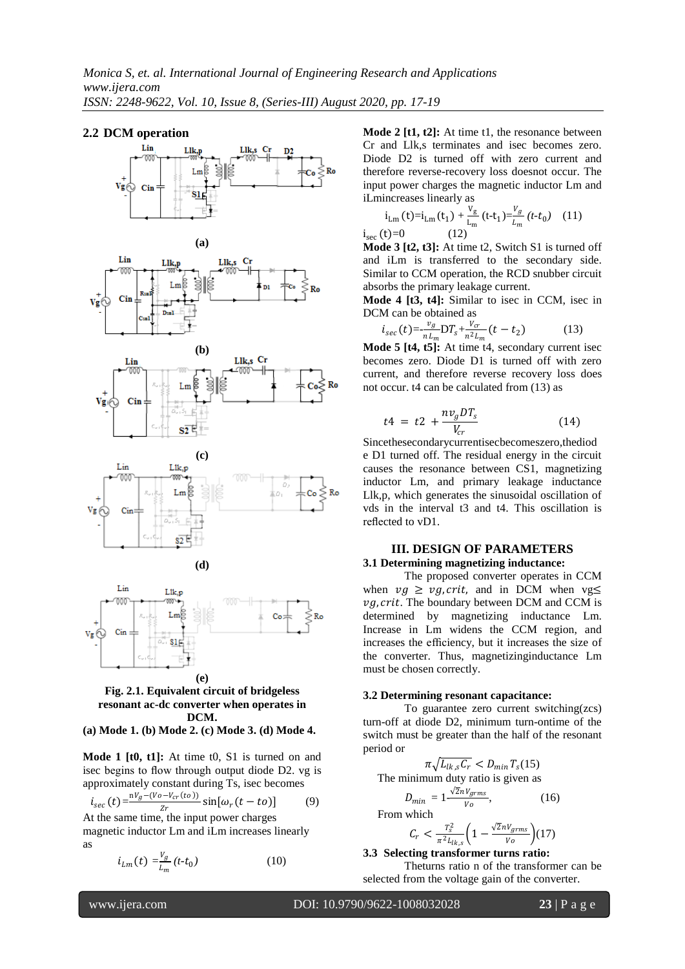## **2.2 DCM operation**







**(a) Mode 1. (b) Mode 2. (c) Mode 3. (d) Mode 4.**

**Mode 1 [t0, t1]:** At time t0, S1 is turned on and isec begins to flow through output diode D2. vg is approximately constant during Ts, isec becomes

$$
i_{sec}(t) = \frac{v_g - (V_o - V_{cr}(to))}{z_r} \sin[\omega_r(t - to)]
$$
 (9)  
At the same time, the input power charges

magnetic inductor Lm and iLm increases linearly as

$$
i_{Lm}(t) = \frac{v_g}{L_m}(t - t_0)
$$
 (10)

**Mode 2 [t1, t2]:** At time t1, the resonance between Cr and Llk,s terminates and isec becomes zero. Diode D2 is turned off with zero current and therefore reverse-recovery loss doesnot occur. The input power charges the magnetic inductor Lm and iLmincreases linearly as

$$
i_{\text{Lm}}(t) = i_{\text{Lm}}(t_1) + \frac{v_g}{L_m}(t - t_1) = \frac{v_g}{L_m}(t - t_0) \quad (11)
$$
  

$$
i_{\text{ser}}(t) = 0 \quad (12)
$$

**Mode 3 [t2, t3]:** At time t2, Switch S1 is turned off and iLm is transferred to the secondary side. Similar to CCM operation, the RCD snubber circuit absorbs the primary leakage current.

**Mode 4 [t3, t4]:** Similar to isec in CCM, isec in DCM can be obtained as

$$
i_{sec}(t) = -\frac{v_g}{n L_m} \mathcal{D} T_s + \frac{v_{cr}}{n^2 L_m} (t - t_2)
$$
 (13)

**Mode 5 [t4, t5]:** At time t4, secondary current isec becomes zero. Diode D1 is turned off with zero current, and therefore reverse recovery loss does not occur. t4 can be calculated from (13) as

$$
t4 = t2 + \frac{nv_g DT_s}{V_{cr}} \tag{14}
$$

Sincethesecondarycurrentisecbecomeszero,thediod e D1 turned off. The residual energy in the circuit causes the resonance between CS1, magnetizing inductor Lm, and primary leakage inductance Llk,p, which generates the sinusoidal oscillation of vds in the interval t3 and t4. This oscillation is reflected to vD1.

## **III. DESIGN OF PARAMETERS 3.1 Determining magnetizing inductance:**

The proposed converter operates in CCM when  $vg \geq v g$ , crit, and in DCM when vg $\leq$  $\nu q$ , crit. The boundary between DCM and CCM is determined by magnetizing inductance Lm. Increase in Lm widens the CCM region, and increases the efficiency, but it increases the size of the converter. Thus, magnetizinginductance Lm must be chosen correctly.

#### **3.2 Determining resonant capacitance:**

To guarantee zero current switching(zcs) turn-off at diode D2, minimum turn-ontime of the switch must be greater than the half of the resonant period or

$$
\pi \sqrt{L_{lk,s} C_r} < D_{min} T_s(15)
$$

The minimum duty ratio is given as

 $D_{i}$ 

$$
D_{min} = 1 - \frac{\sqrt{2nV_{grms}}}{V_o},
$$
 From which

$$
C_r < \frac{T_s^2}{\pi^2 L_{lk,s}} \left( 1 - \frac{\sqrt{2}nV_{grms}}{V_o} \right) (17)
$$

**3.3 Selecting transformer turns ratio:**

Theturns ratio n of the transformer can be selected from the voltage gain of the converter.

www.ijera.com DOI: 10.9790/9622-1008032028 **23** | P a g e

 $(16)$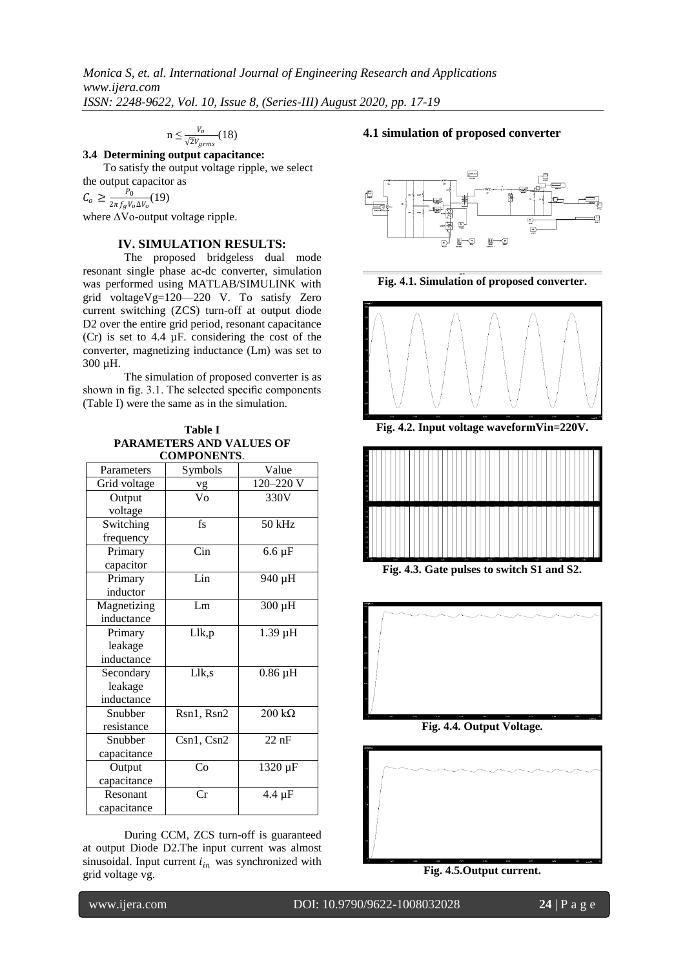$$
n \leq \frac{V_o}{\sqrt{2}V_{grms}}(18)
$$

**3.4 Determining output capacitance:**

To satisfy the output voltage ripple, we select the output capacitor as

 $C_o \geq \frac{P_0}{2\pi f_o V_o}$  $\frac{1}{2\pi f_g V_o \Delta V_o}(19)$ 

where ∆Vo-output voltage ripple.

# **IV. SIMULATION RESULTS:**

 The proposed bridgeless dual mode resonant single phase ac-dc converter, simulation was performed using MATLAB/SIMULINK with grid voltageVg=120––220 V. To satisfy Zero current switching (ZCS) turn-off at output diode D2 over the entire grid period, resonant capacitance (Cr) is set to 4.4 µF. considering the cost of the converter, magnetizing inductance (Lm) was set to 300 µH.

The simulation of proposed converter is as shown in fig. 3.1. The selected specific components (Table I) were the same as in the simulation.

**Table I PARAMETERS AND VALUES OF COMPONENTS**.

| CUMITUNEN 19. |                        |                    |
|---------------|------------------------|--------------------|
| Parameters    | Symbols                | Value              |
| Grid voltage  | vg                     | 120-220 V          |
| Output        | Vo                     | 330V               |
| voltage       |                        |                    |
| Switching     | $f_S$                  | $50$ kHz           |
| frequency     |                        |                    |
| Primary       | Cin                    | $6.6 \mu F$        |
| capacitor     |                        |                    |
| Primary       | Lin                    | 940 µH             |
| inductor      |                        |                    |
| Magnetizing   | Lm                     | 300 µH             |
| inductance    |                        |                    |
| Primary       | Llk,p                  | 1.39 µH            |
| leakage       |                        |                    |
| inductance    |                        |                    |
| Secondary     | Llk,s                  | $0.86$ $\mu$ H     |
| leakage       |                        |                    |
| inductance    |                        |                    |
| Snubber       | Rsn1, Rsn2             | $200 k\Omega$      |
| resistance    |                        |                    |
| Snubber       | Csn1, Csn2             | $22 \overline{nF}$ |
| capacitance   |                        |                    |
| Output        | Co                     | 1320 µF            |
| capacitance   |                        |                    |
| Resonant      | $\overline{\text{Cr}}$ | $4.4 \mu F$        |
| capacitance   |                        |                    |

During CCM, ZCS turn-off is guaranteed at output Diode D2.The input current was almost sinusoidal. Input current  $i_{in}$  was synchronized with grid voltage vg.

# **4.1 simulation of proposed converter**



**Fig. 4.1. Simulation of proposed converter.**



**Fig. 4.2. Input voltage waveformVin=220V.**



**Fig. 4.3. Gate pulses to switch S1 and S2.**



**Fig. 4.4. Output Voltage.**



**Fig. 4.5.Output current.**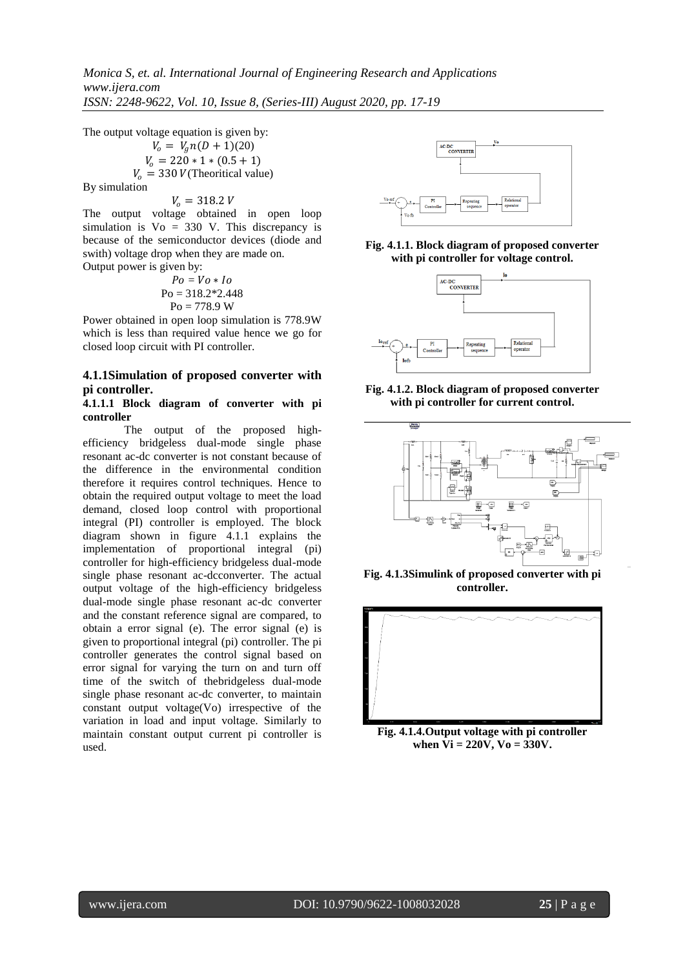*Monica S, et. al. International Journal of Engineering Research and Applications www.ijera.com ISSN: 2248-9622, Vol. 10, Issue 8, (Series-III) August 2020, pp. 17-19*

The output voltage equation is given by:

$$
V_0 = V_g n(D + 1)(20)
$$
  
\n
$$
V_0 = 220 * 1 * (0.5 + 1)
$$
  
\n
$$
V_0 = 330 \text{ } V(\text{Theorritical value})
$$

By simulation

#### $V_0 = 318.2 V$

The output voltage obtained in open loop simulation is  $Vo = 330$  V. This discrepancy is because of the semiconductor devices (diode and swith) voltage drop when they are made on. Output power is given by:

$$
Po = Vo * Io
$$
  
Po = 318.2\*2.448  
Po = 778.9 W

Power obtained in open loop simulation is 778.9W which is less than required value hence we go for closed loop circuit with PI controller.

# **4.1.1Simulation of proposed converter with pi controller.**

#### **4.1.1.1 Block diagram of converter with pi controller**

The output of the proposed highefficiency bridgeless dual-mode single phase resonant ac-dc converter is not constant because of the difference in the environmental condition therefore it requires control techniques. Hence to obtain the required output voltage to meet the load demand, closed loop control with proportional integral (PI) controller is employed. The block diagram shown in figure 4.1.1 explains the implementation of proportional integral (pi) controller for high-efficiency bridgeless dual-mode single phase resonant ac-dcconverter. The actual output voltage of the high-efficiency bridgeless dual-mode single phase resonant ac-dc converter and the constant reference signal are compared, to obtain a error signal (e). The error signal (e) is given to proportional integral (pi) controller. The pi controller generates the control signal based on error signal for varying the turn on and turn off time of the switch of thebridgeless dual-mode single phase resonant ac-dc converter, to maintain constant output voltage(Vo) irrespective of the variation in load and input voltage. Similarly to maintain constant output current pi controller is used.



**Fig. 4.1.1. Block diagram of proposed converter with pi controller for voltage control.**



**Fig. 4.1.2. Block diagram of proposed converter with pi controller for current control.**



**Fig. 4.1.3Simulink of proposed converter with pi controller.**



**Fig. 4.1.4.Output voltage with pi controller when Vi = 220V, Vo = 330V.**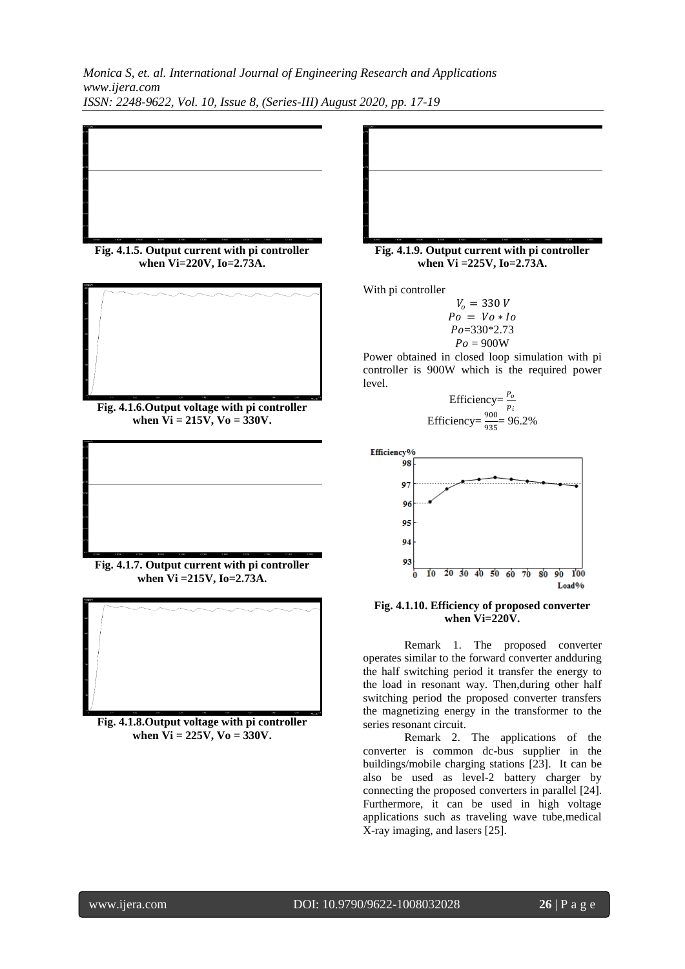*Monica S, et. al. International Journal of Engineering Research and Applications www.ijera.com ISSN: 2248-9622, Vol. 10, Issue 8, (Series-III) August 2020, pp. 17-19*

**Fig. 4.1.5. Output current with pi controller when Vi=220V, Io=2.73A.**

**Fig. 4.1.6.Output voltage with pi controller when Vi = 215V, Vo = 330V.**

**Fig. 4.1.7. Output current with pi controller when Vi =215V, Io=2.73A.**



**Fig. 4.1.8.Output voltage with pi controller when Vi = 225V, Vo = 330V.**

**Fig. 4.1.9. Output current with pi controller when Vi =225V, Io=2.73A.**

With pi controller

$$
V_o = 330 V
$$
  
\n
$$
Po = Vo * Io
$$
  
\n
$$
Po = 330 * 2.73
$$
  
\n
$$
Po = 900 W
$$

Power obtained in closed loop simulation with pi controller is 900W which is the required power level.

Efficiency=
$$
\frac{P_o}{p_i}
$$
  
Efficiency= $\frac{900}{935}$ = 96.2%



## **Fig. 4.1.10. Efficiency of proposed converter when Vi=220V.**

Remark 1. The proposed converter operates similar to the forward converter andduring the half switching period it transfer the energy to the load in resonant way. Then,during other half switching period the proposed converter transfers the magnetizing energy in the transformer to the series resonant circuit.

Remark 2. The applications of the converter is common dc-bus supplier in the buildings/mobile charging stations [23]. It can be also be used as level-2 battery charger by connecting the proposed converters in parallel [24]. Furthermore, it can be used in high voltage applications such as traveling wave tube,medical X-ray imaging, and lasers [25].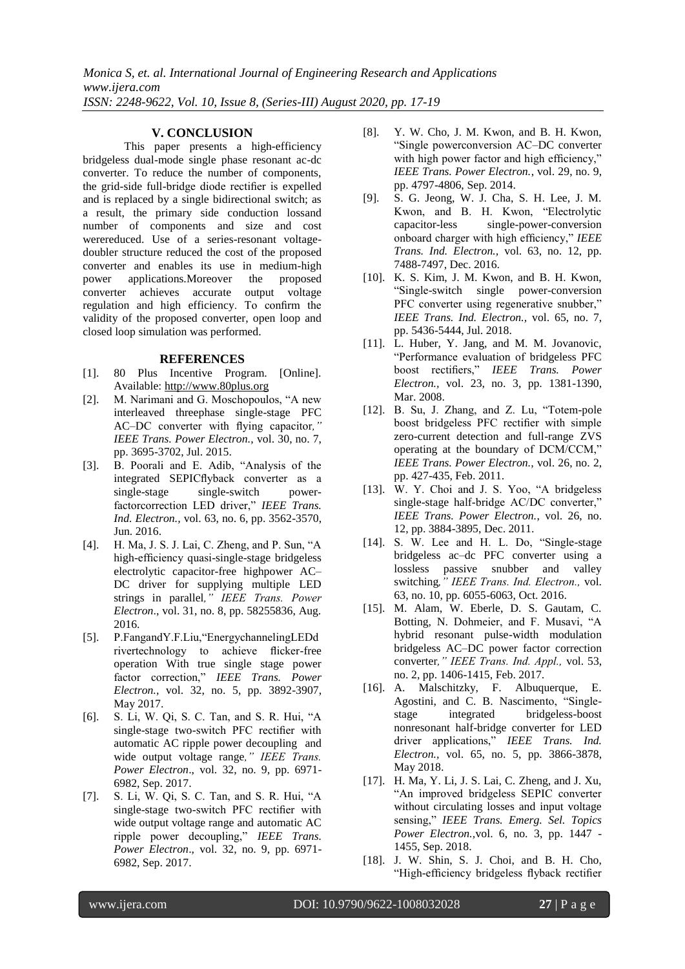## **V. CONCLUSION**

This paper presents a high-efficiency bridgeless dual-mode single phase resonant ac-dc converter. To reduce the number of components, the grid-side full-bridge diode rectifier is expelled and is replaced by a single bidirectional switch; as a result, the primary side conduction lossand number of components and size and cost werereduced. Use of a series-resonant voltagedoubler structure reduced the cost of the proposed converter and enables its use in medium-high power applications.Moreover the proposed converter achieves accurate output voltage regulation and high efficiency. To confirm the validity of the proposed converter, open loop and closed loop simulation was performed.

#### **REFERENCES**

- [1]. 80 Plus Incentive Program. [Online]. Available: [http://www.80plus.org](http://www.80plus.org/)
- [2]. M. Narimani and G. Moschopoulos, "A new interleaved threephase single-stage PFC AC–DC converter with flying capacitor*," IEEE Trans. Power Electron.,* vol. 30, no. 7, pp. 3695-3702, Jul. 2015.
- [3]. B. Poorali and E. Adib, "Analysis of the integrated SEPICflyback converter as a single-stage single-switch powerfactorcorrection LED driver," *IEEE Trans. Ind. Electron.,* vol. 63, no. 6, pp. 3562-3570, Jun. 2016.
- [4]. H. Ma, J. S. J. Lai, C. Zheng, and P. Sun, "A high-efficiency quasi-single-stage bridgeless electrolytic capacitor-free highpower AC– DC driver for supplying multiple LED strings in parallel*," IEEE Trans. Power Electron*., vol. 31, no. 8, pp. 58255836, Aug. 2016.
- [5]. P.FangandY.F.Liu,"EnergychannelingLEDd rivertechnology to achieve flicker-free operation With true single stage power factor correction," *IEEE Trans. Power Electron.,* vol. 32, no. 5, pp. 3892-3907, May 2017.
- [6]. S. Li, W. Qi, S. C. Tan, and S. R. Hui, "A single-stage two-switch PFC rectifier with automatic AC ripple power decoupling and wide output voltage range*," IEEE Trans. Power Electron*., vol. 32, no. 9, pp. 6971- 6982, Sep. 2017.
- [7]. S. Li, W. Qi, S. C. Tan, and S. R. Hui, "A single-stage two-switch PFC rectifier with wide output voltage range and automatic AC ripple power decoupling," *IEEE Trans. Power Electron*., vol. 32, no. 9, pp. 6971- 6982, Sep. 2017.
- [8]. Y. W. Cho, J. M. Kwon, and B. H. Kwon, "Single powerconversion AC–DC converter with high power factor and high efficiency," *IEEE Trans. Power Electron.*, vol. 29, no. 9, pp. 4797-4806, Sep. 2014.
- [9]. S. G. Jeong, W. J. Cha, S. H. Lee, J. M. Kwon, and B. H. Kwon, "Electrolytic capacitor-less single-power-conversion onboard charger with high efficiency," *IEEE Trans. Ind. Electron.,* vol. 63, no. 12, pp. 7488-7497, Dec. 2016.
- [10]. K. S. Kim, J. M. Kwon, and B. H. Kwon, "Single-switch single power-conversion PFC converter using regenerative snubber," *IEEE Trans. Ind. Electron.,* vol. 65, no. 7, pp. 5436-5444, Jul. 2018.
- [11]. L. Huber, Y. Jang, and M. M. Jovanovic, "Performance evaluation of bridgeless PFC boost rectifiers," *IEEE Trans. Power Electron.,* vol. 23, no. 3, pp. 1381-1390, Mar. 2008.
- [12]. B. Su, J. Zhang, and Z. Lu, "Totem-pole boost bridgeless PFC rectifier with simple zero-current detection and full-range ZVS operating at the boundary of DCM/CCM," *IEEE Trans. Power Electron.,* vol. 26, no. 2, pp. 427-435, Feb. 2011.
- [13]. W. Y. Choi and J. S. Yoo, "A bridgeless single-stage half-bridge AC/DC converter," *IEEE Trans. Power Electron.*, vol. 26, no. 12, pp. 3884-3895, Dec. 2011.
- [14]. S. W. Lee and H. L. Do, "Single-stage bridgeless ac–dc PFC converter using a lossless passive snubber and valley switching*," IEEE Trans. Ind. Electron.,* vol. 63, no. 10, pp. 6055-6063, Oct. 2016.
- [15]. M. Alam, W. Eberle, D. S. Gautam, C. Botting, N. Dohmeier, and F. Musavi, "A hybrid resonant pulse-width modulation bridgeless AC–DC power factor correction converter*," IEEE Trans. Ind. Appl.,* vol. 53, no. 2, pp. 1406-1415, Feb. 2017.
- [16]. A. Malschitzky, F. Albuquerque, E. Agostini, and C. B. Nascimento, "Singlestage integrated bridgeless-boost nonresonant half-bridge converter for LED driver applications," *IEEE Trans. Ind. Electron.,* vol. 65, no. 5, pp. 3866-3878, May 2018.
- [17]. H. Ma, Y. Li, J. S. Lai, C. Zheng, and J. Xu, "An improved bridgeless SEPIC converter without circulating losses and input voltage sensing," *IEEE Trans. Emerg. Sel. Topics Power Electron.,*vol. 6, no. 3, pp. 1447 - 1455, Sep. 2018.
- [18]. J. W. Shin, S. J. Choi, and B. H. Cho, "High-efficiency bridgeless flyback rectifier